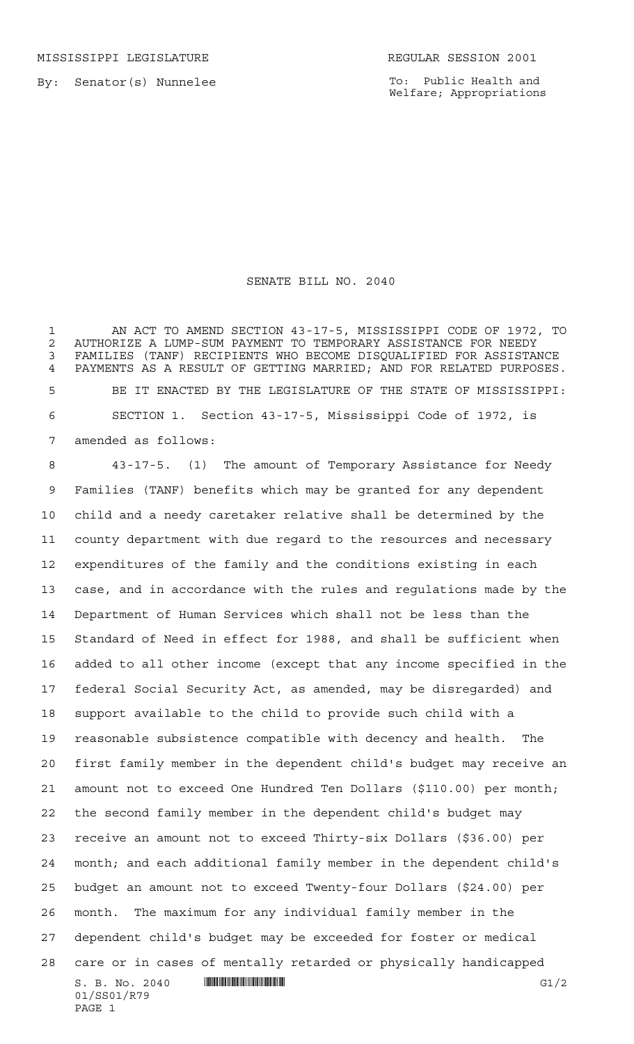MISSISSIPPI LEGISLATURE **REGULAR SESSION 2001** 

By: Senator(s) Nunnelee

To: Public Health and Welfare; Appropriations

## SENATE BILL NO. 2040

 AN ACT TO AMEND SECTION 43-17-5, MISSISSIPPI CODE OF 1972, TO 2 AUTHORIZE A LUMP-SUM PAYMENT TO TEMPORARY ASSISTANCE FOR NEEDY<br>3 FAMILIES (TANF) RECIPIENTS WHO BECOME DISOUALIFIED FOR ASSISTAI FAMILIES (TANF) RECIPIENTS WHO BECOME DISQUALIFIED FOR ASSISTANCE PAYMENTS AS A RESULT OF GETTING MARRIED; AND FOR RELATED PURPOSES. BE IT ENACTED BY THE LEGISLATURE OF THE STATE OF MISSISSIPPI: SECTION 1. Section 43-17-5, Mississippi Code of 1972, is amended as follows:

 $S. B. No. 2040$   $\blacksquare$   $\blacksquare$   $\blacksquare$   $\blacksquare$   $\blacksquare$   $\blacksquare$   $\blacksquare$   $\blacksquare$   $\blacksquare$   $\blacksquare$   $\blacksquare$   $\blacksquare$   $\blacksquare$   $\blacksquare$   $\blacksquare$   $\blacksquare$   $\blacksquare$   $\blacksquare$   $\blacksquare$   $\blacksquare$   $\blacksquare$   $\blacksquare$   $\blacksquare$   $\blacksquare$   $\blacksquare$   $\blacksquare$   $\blacksquare$   $\blacksquare$   $\blacksquare$   $\blacks$ 01/SS01/R79 PAGE 1 43-17-5. (1) The amount of Temporary Assistance for Needy Families (TANF) benefits which may be granted for any dependent child and a needy caretaker relative shall be determined by the county department with due regard to the resources and necessary expenditures of the family and the conditions existing in each case, and in accordance with the rules and regulations made by the Department of Human Services which shall not be less than the Standard of Need in effect for 1988, and shall be sufficient when added to all other income (except that any income specified in the federal Social Security Act, as amended, may be disregarded) and support available to the child to provide such child with a reasonable subsistence compatible with decency and health. The first family member in the dependent child's budget may receive an amount not to exceed One Hundred Ten Dollars (\$110.00) per month; the second family member in the dependent child's budget may receive an amount not to exceed Thirty-six Dollars (\$36.00) per month; and each additional family member in the dependent child's budget an amount not to exceed Twenty-four Dollars (\$24.00) per month. The maximum for any individual family member in the dependent child's budget may be exceeded for foster or medical care or in cases of mentally retarded or physically handicapped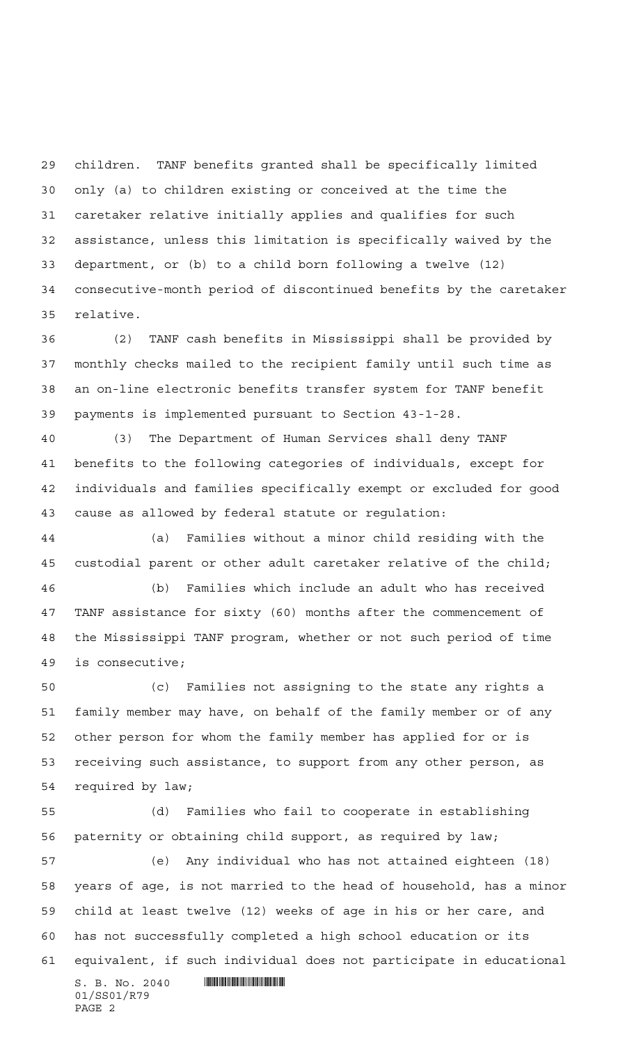children. TANF benefits granted shall be specifically limited only (a) to children existing or conceived at the time the caretaker relative initially applies and qualifies for such assistance, unless this limitation is specifically waived by the department, or (b) to a child born following a twelve (12) consecutive-month period of discontinued benefits by the caretaker relative.

 (2) TANF cash benefits in Mississippi shall be provided by monthly checks mailed to the recipient family until such time as an on-line electronic benefits transfer system for TANF benefit payments is implemented pursuant to Section 43-1-28.

 (3) The Department of Human Services shall deny TANF benefits to the following categories of individuals, except for individuals and families specifically exempt or excluded for good cause as allowed by federal statute or regulation:

 (a) Families without a minor child residing with the custodial parent or other adult caretaker relative of the child;

 (b) Families which include an adult who has received TANF assistance for sixty (60) months after the commencement of the Mississippi TANF program, whether or not such period of time is consecutive;

 (c) Families not assigning to the state any rights a family member may have, on behalf of the family member or of any other person for whom the family member has applied for or is receiving such assistance, to support from any other person, as required by law;

 (d) Families who fail to cooperate in establishing paternity or obtaining child support, as required by law;

 $S. B. No. 2040$  .  $\blacksquare$  (e) Any individual who has not attained eighteen (18) years of age, is not married to the head of household, has a minor child at least twelve (12) weeks of age in his or her care, and has not successfully completed a high school education or its equivalent, if such individual does not participate in educational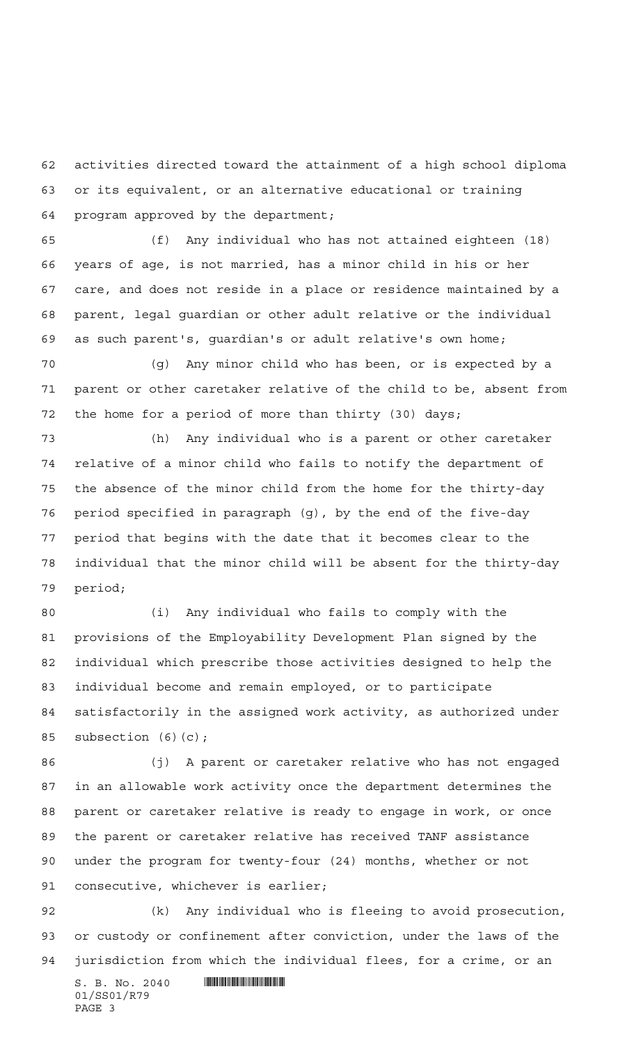activities directed toward the attainment of a high school diploma or its equivalent, or an alternative educational or training program approved by the department;

 (f) Any individual who has not attained eighteen (18) years of age, is not married, has a minor child in his or her care, and does not reside in a place or residence maintained by a parent, legal guardian or other adult relative or the individual as such parent's, guardian's or adult relative's own home;

 (g) Any minor child who has been, or is expected by a parent or other caretaker relative of the child to be, absent from the home for a period of more than thirty (30) days;

 (h) Any individual who is a parent or other caretaker relative of a minor child who fails to notify the department of the absence of the minor child from the home for the thirty-day period specified in paragraph (g), by the end of the five-day period that begins with the date that it becomes clear to the individual that the minor child will be absent for the thirty-day period;

 (i) Any individual who fails to comply with the provisions of the Employability Development Plan signed by the individual which prescribe those activities designed to help the individual become and remain employed, or to participate satisfactorily in the assigned work activity, as authorized under subsection (6)(c);

 (j) A parent or caretaker relative who has not engaged in an allowable work activity once the department determines the parent or caretaker relative is ready to engage in work, or once the parent or caretaker relative has received TANF assistance under the program for twenty-four (24) months, whether or not consecutive, whichever is earlier;

 (k) Any individual who is fleeing to avoid prosecution, or custody or confinement after conviction, under the laws of the jurisdiction from which the individual flees, for a crime, or an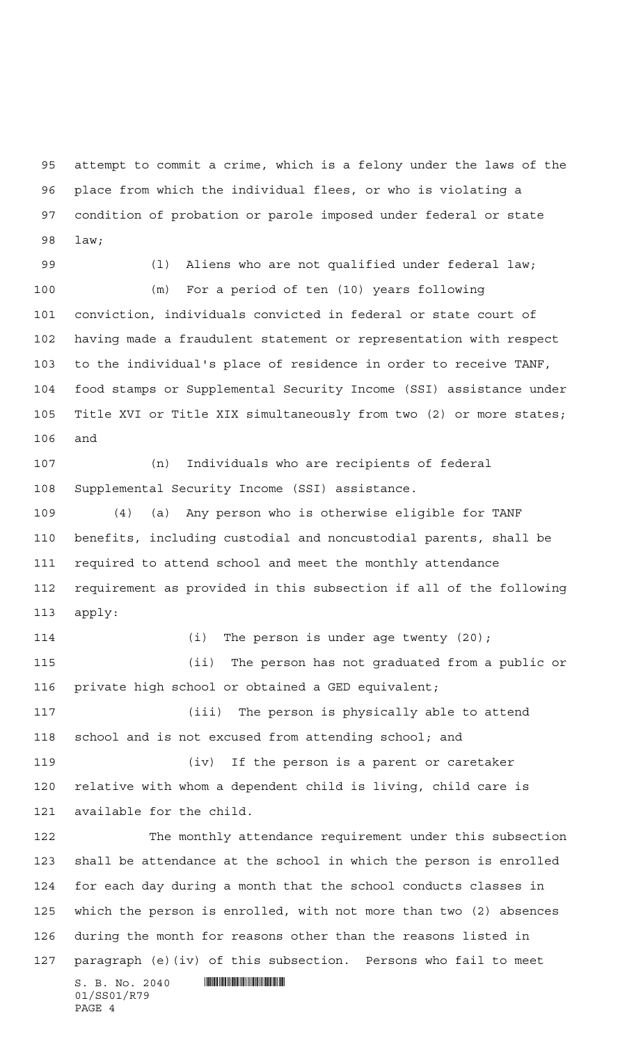attempt to commit a crime, which is a felony under the laws of the place from which the individual flees, or who is violating a condition of probation or parole imposed under federal or state law;

99 (1) Aliens who are not qualified under federal law; (m) For a period of ten (10) years following conviction, individuals convicted in federal or state court of having made a fraudulent statement or representation with respect to the individual's place of residence in order to receive TANF, food stamps or Supplemental Security Income (SSI) assistance under Title XVI or Title XIX simultaneously from two (2) or more states; and

 (n) Individuals who are recipients of federal Supplemental Security Income (SSI) assistance.

 (4) (a) Any person who is otherwise eligible for TANF benefits, including custodial and noncustodial parents, shall be required to attend school and meet the monthly attendance requirement as provided in this subsection if all of the following apply:

114 (i) The person is under age twenty (20); (ii) The person has not graduated from a public or private high school or obtained a GED equivalent; (iii) The person is physically able to attend school and is not excused from attending school; and (iv) If the person is a parent or caretaker relative with whom a dependent child is living, child care is available for the child. The monthly attendance requirement under this subsection shall be attendance at the school in which the person is enrolled

 for each day during a month that the school conducts classes in which the person is enrolled, with not more than two (2) absences during the month for reasons other than the reasons listed in paragraph (e)(iv) of this subsection. Persons who fail to meet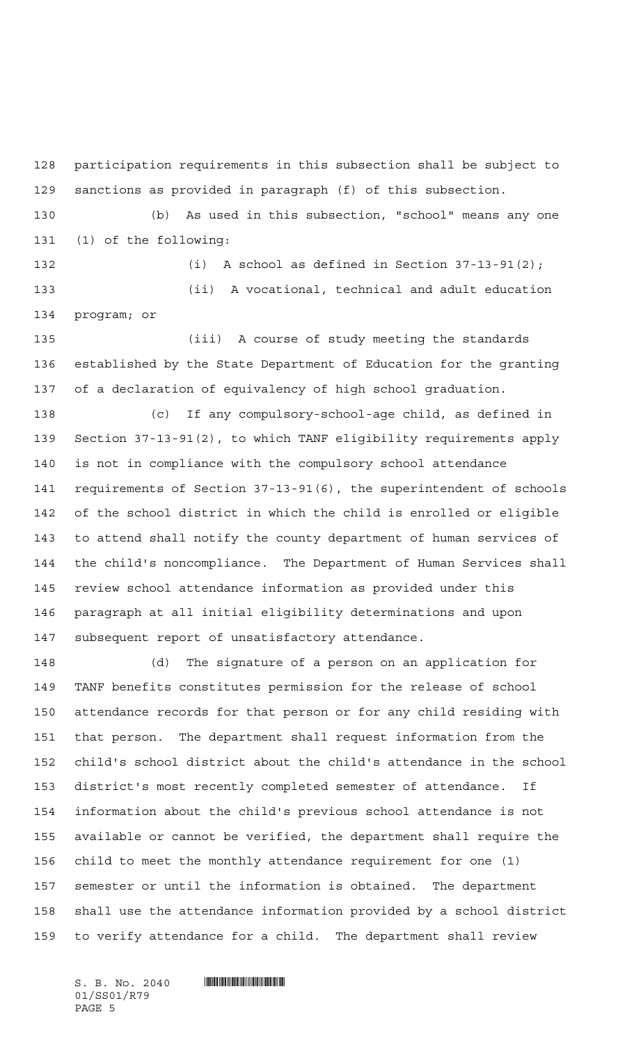participation requirements in this subsection shall be subject to sanctions as provided in paragraph (f) of this subsection.

 (b) As used in this subsection, "school" means any one (1) of the following:

 (i) A school as defined in Section 37-13-91(2); (ii) A vocational, technical and adult education program; or

 (iii) A course of study meeting the standards established by the State Department of Education for the granting of a declaration of equivalency of high school graduation.

 (c) If any compulsory-school-age child, as defined in Section 37-13-91(2), to which TANF eligibility requirements apply is not in compliance with the compulsory school attendance requirements of Section 37-13-91(6), the superintendent of schools of the school district in which the child is enrolled or eligible to attend shall notify the county department of human services of the child's noncompliance. The Department of Human Services shall review school attendance information as provided under this paragraph at all initial eligibility determinations and upon subsequent report of unsatisfactory attendance.

 (d) The signature of a person on an application for TANF benefits constitutes permission for the release of school attendance records for that person or for any child residing with that person. The department shall request information from the child's school district about the child's attendance in the school district's most recently completed semester of attendance. If information about the child's previous school attendance is not available or cannot be verified, the department shall require the child to meet the monthly attendance requirement for one (1) semester or until the information is obtained. The department shall use the attendance information provided by a school district to verify attendance for a child. The department shall review

01/SS01/R79 PAGE 5

 $S. B. No. 2040$  .  $\blacksquare$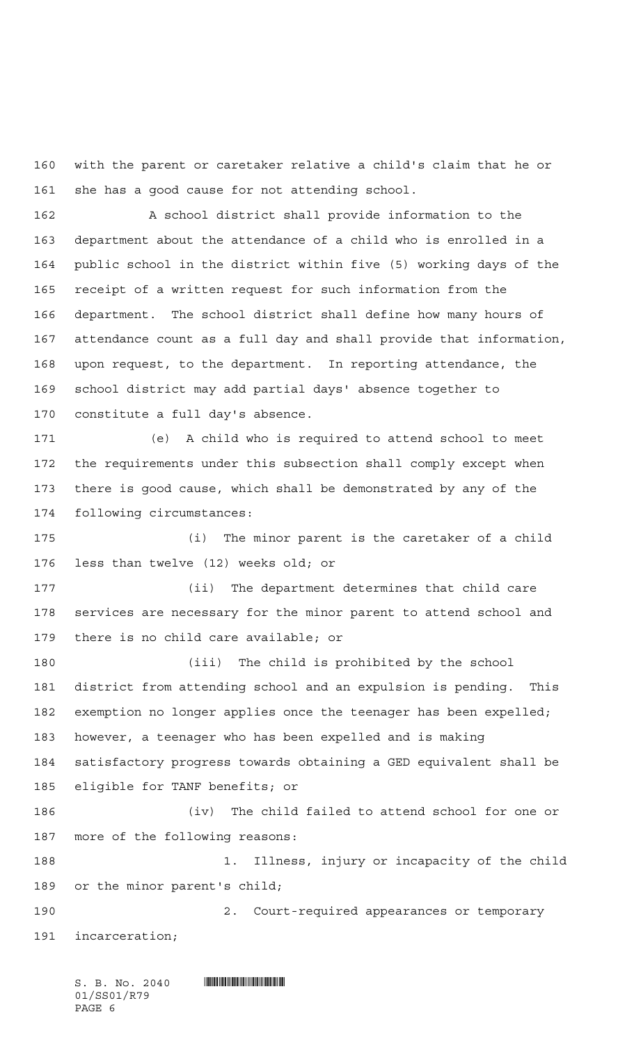with the parent or caretaker relative a child's claim that he or she has a good cause for not attending school.

 A school district shall provide information to the department about the attendance of a child who is enrolled in a public school in the district within five (5) working days of the receipt of a written request for such information from the department. The school district shall define how many hours of attendance count as a full day and shall provide that information, upon request, to the department. In reporting attendance, the school district may add partial days' absence together to constitute a full day's absence.

 (e) A child who is required to attend school to meet the requirements under this subsection shall comply except when there is good cause, which shall be demonstrated by any of the following circumstances:

 (i) The minor parent is the caretaker of a child less than twelve (12) weeks old; or

 (ii) The department determines that child care services are necessary for the minor parent to attend school and there is no child care available; or

 (iii) The child is prohibited by the school district from attending school and an expulsion is pending. This exemption no longer applies once the teenager has been expelled; however, a teenager who has been expelled and is making satisfactory progress towards obtaining a GED equivalent shall be eligible for TANF benefits; or (iv) The child failed to attend school for one or more of the following reasons: 188 188 1. Illness, injury or incapacity of the child or the minor parent's child; 2. Court-required appearances or temporary

incarceration;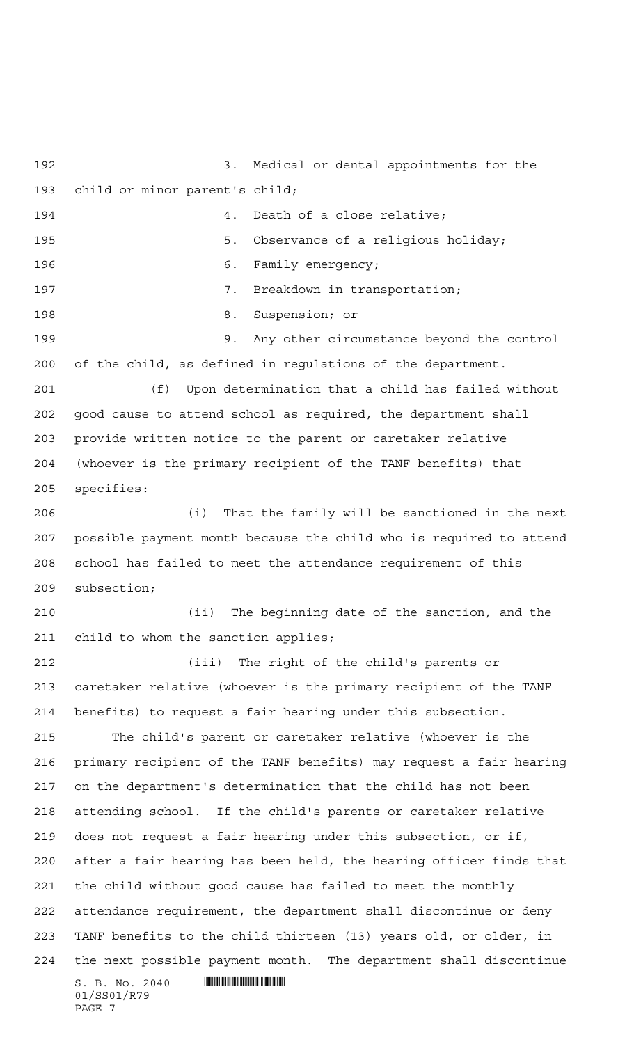$S. B. No. 2040$  .  $\blacksquare$  3. Medical or dental appointments for the child or minor parent's child; **4.** Death of a close relative; 5. Observance of a religious holiday; 196 6. Family emergency; 197 197 7. Breakdown in transportation; 8. Suspension; or 9. Any other circumstance beyond the control of the child, as defined in regulations of the department. (f) Upon determination that a child has failed without good cause to attend school as required, the department shall provide written notice to the parent or caretaker relative (whoever is the primary recipient of the TANF benefits) that specifies: (i) That the family will be sanctioned in the next possible payment month because the child who is required to attend school has failed to meet the attendance requirement of this subsection; (ii) The beginning date of the sanction, and the child to whom the sanction applies; (iii) The right of the child's parents or caretaker relative (whoever is the primary recipient of the TANF benefits) to request a fair hearing under this subsection. The child's parent or caretaker relative (whoever is the primary recipient of the TANF benefits) may request a fair hearing on the department's determination that the child has not been attending school. If the child's parents or caretaker relative does not request a fair hearing under this subsection, or if, after a fair hearing has been held, the hearing officer finds that the child without good cause has failed to meet the monthly attendance requirement, the department shall discontinue or deny TANF benefits to the child thirteen (13) years old, or older, in the next possible payment month. The department shall discontinue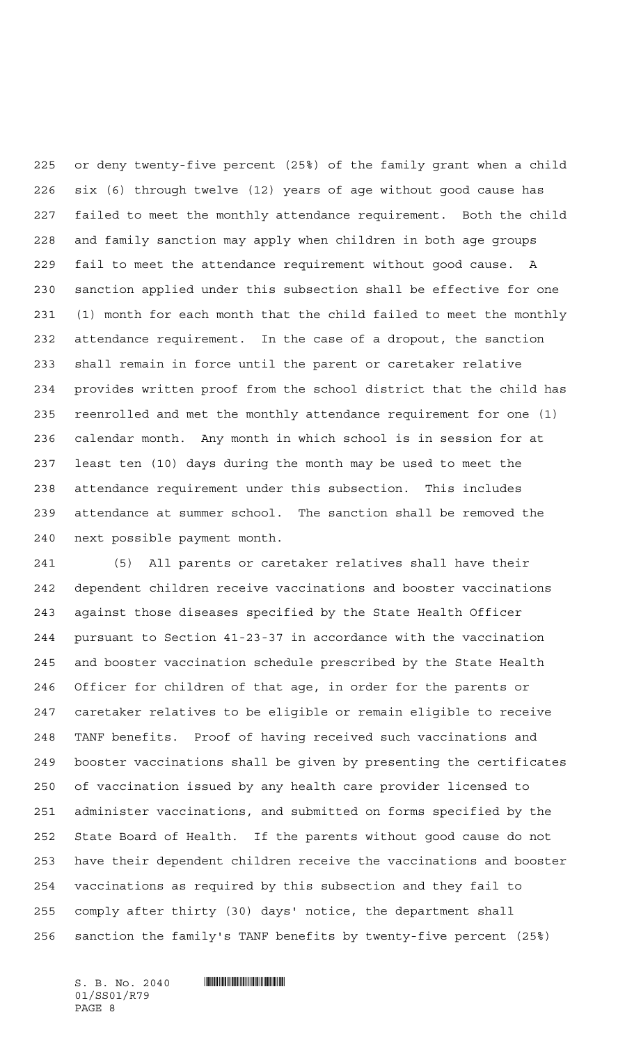or deny twenty-five percent (25%) of the family grant when a child six (6) through twelve (12) years of age without good cause has failed to meet the monthly attendance requirement. Both the child and family sanction may apply when children in both age groups fail to meet the attendance requirement without good cause. A sanction applied under this subsection shall be effective for one (1) month for each month that the child failed to meet the monthly attendance requirement. In the case of a dropout, the sanction shall remain in force until the parent or caretaker relative provides written proof from the school district that the child has reenrolled and met the monthly attendance requirement for one (1) calendar month. Any month in which school is in session for at least ten (10) days during the month may be used to meet the attendance requirement under this subsection. This includes attendance at summer school. The sanction shall be removed the next possible payment month.

 (5) All parents or caretaker relatives shall have their dependent children receive vaccinations and booster vaccinations against those diseases specified by the State Health Officer pursuant to Section 41-23-37 in accordance with the vaccination and booster vaccination schedule prescribed by the State Health Officer for children of that age, in order for the parents or caretaker relatives to be eligible or remain eligible to receive TANF benefits. Proof of having received such vaccinations and booster vaccinations shall be given by presenting the certificates of vaccination issued by any health care provider licensed to administer vaccinations, and submitted on forms specified by the State Board of Health. If the parents without good cause do not have their dependent children receive the vaccinations and booster vaccinations as required by this subsection and they fail to comply after thirty (30) days' notice, the department shall sanction the family's TANF benefits by twenty-five percent (25%)

01/SS01/R79 PAGE 8

 $S. B. No. 2040$  .  $\blacksquare$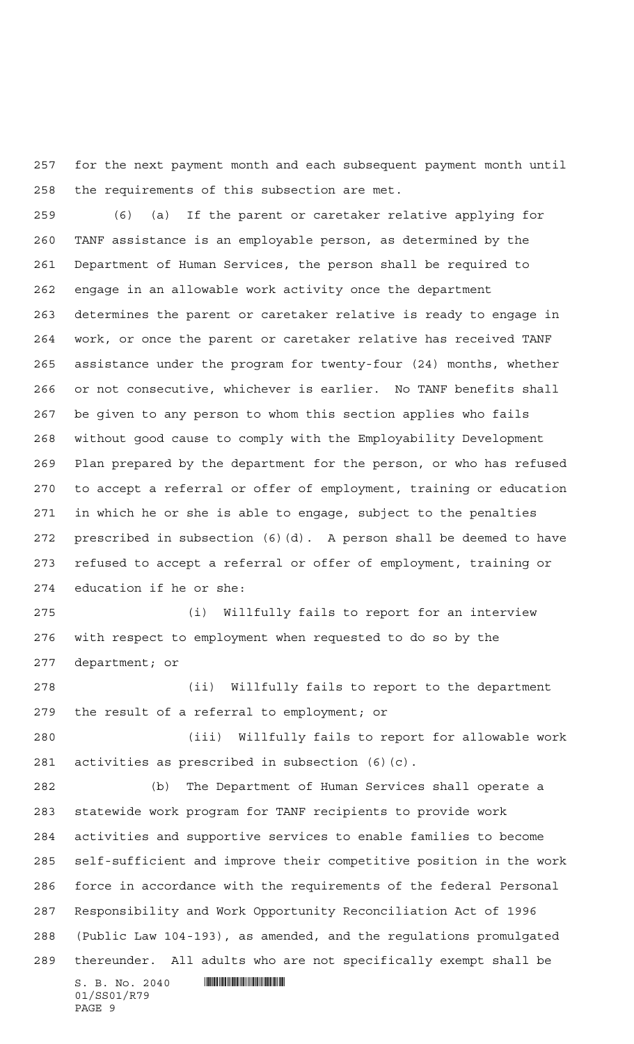for the next payment month and each subsequent payment month until the requirements of this subsection are met.

 (6) (a) If the parent or caretaker relative applying for TANF assistance is an employable person, as determined by the Department of Human Services, the person shall be required to engage in an allowable work activity once the department determines the parent or caretaker relative is ready to engage in work, or once the parent or caretaker relative has received TANF assistance under the program for twenty-four (24) months, whether or not consecutive, whichever is earlier. No TANF benefits shall be given to any person to whom this section applies who fails without good cause to comply with the Employability Development Plan prepared by the department for the person, or who has refused to accept a referral or offer of employment, training or education in which he or she is able to engage, subject to the penalties prescribed in subsection (6)(d). A person shall be deemed to have refused to accept a referral or offer of employment, training or education if he or she:

 (i) Willfully fails to report for an interview with respect to employment when requested to do so by the department; or

 (ii) Willfully fails to report to the department the result of a referral to employment; or

 (iii) Willfully fails to report for allowable work activities as prescribed in subsection (6)(c).

 $S. B. No. 2040$  .  $\blacksquare$  (b) The Department of Human Services shall operate a statewide work program for TANF recipients to provide work activities and supportive services to enable families to become self-sufficient and improve their competitive position in the work force in accordance with the requirements of the federal Personal Responsibility and Work Opportunity Reconciliation Act of 1996 (Public Law 104-193), as amended, and the regulations promulgated thereunder. All adults who are not specifically exempt shall be

```
01/SS01/R79
PAGE 9
```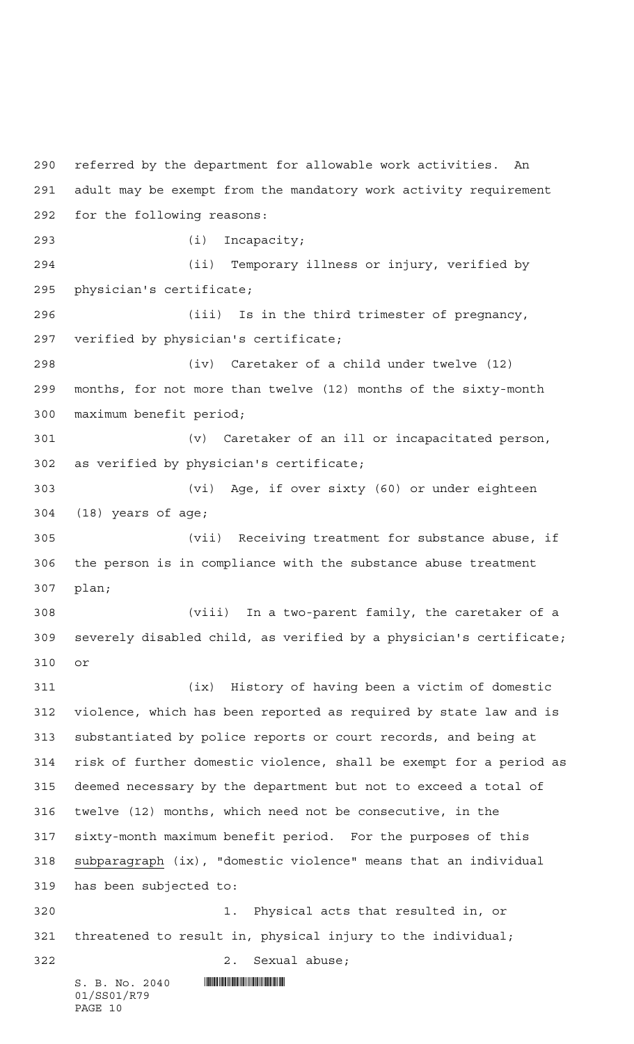$S. B. No. 2040$  .  $\blacksquare$ 01/SS01/R79 referred by the department for allowable work activities. An adult may be exempt from the mandatory work activity requirement for the following reasons: (i) Incapacity; (ii) Temporary illness or injury, verified by physician's certificate; (iii) Is in the third trimester of pregnancy, verified by physician's certificate; (iv) Caretaker of a child under twelve (12) months, for not more than twelve (12) months of the sixty-month maximum benefit period; (v) Caretaker of an ill or incapacitated person, as verified by physician's certificate; (vi) Age, if over sixty (60) or under eighteen (18) years of age; (vii) Receiving treatment for substance abuse, if the person is in compliance with the substance abuse treatment plan; (viii) In a two-parent family, the caretaker of a severely disabled child, as verified by a physician's certificate; or (ix) History of having been a victim of domestic violence, which has been reported as required by state law and is substantiated by police reports or court records, and being at risk of further domestic violence, shall be exempt for a period as deemed necessary by the department but not to exceed a total of twelve (12) months, which need not be consecutive, in the sixty-month maximum benefit period. For the purposes of this subparagraph (ix), "domestic violence" means that an individual has been subjected to: 1. Physical acts that resulted in, or threatened to result in, physical injury to the individual; 2. Sexual abuse;

PAGE 10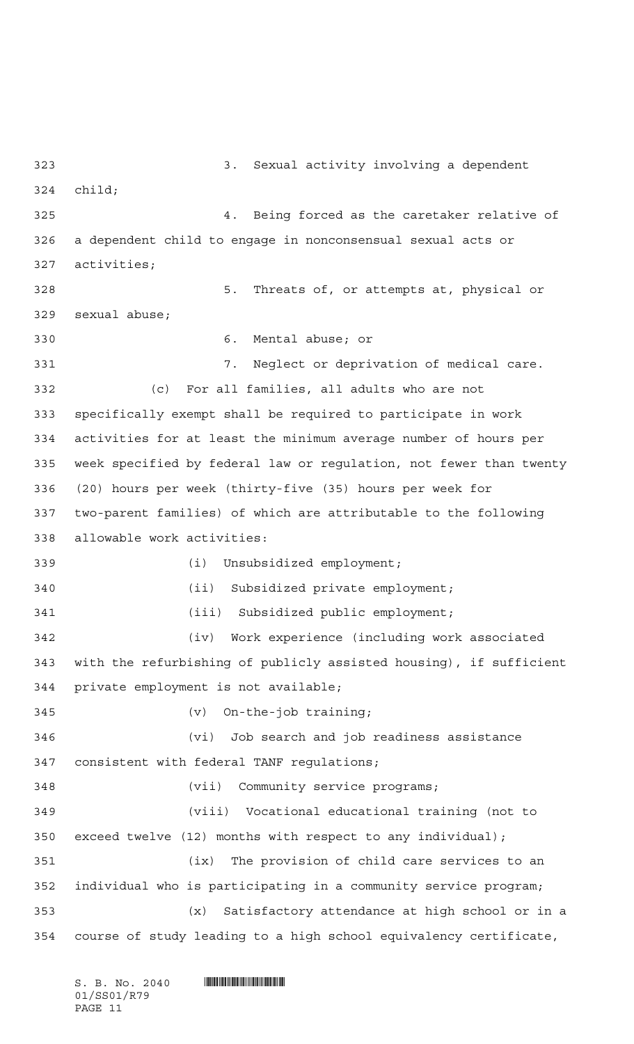3. Sexual activity involving a dependent child; 4. Being forced as the caretaker relative of a dependent child to engage in nonconsensual sexual acts or activities; 5. Threats of, or attempts at, physical or sexual abuse; 6. Mental abuse; or 7. Neglect or deprivation of medical care. (c) For all families, all adults who are not specifically exempt shall be required to participate in work activities for at least the minimum average number of hours per week specified by federal law or regulation, not fewer than twenty (20) hours per week (thirty-five (35) hours per week for two-parent families) of which are attributable to the following allowable work activities: (i) Unsubsidized employment; (ii) Subsidized private employment; 341 (iii) Subsidized public employment; (iv) Work experience (including work associated with the refurbishing of publicly assisted housing), if sufficient private employment is not available; (v) On-the-job training; (vi) Job search and job readiness assistance consistent with federal TANF regulations; (vii) Community service programs; (viii) Vocational educational training (not to exceed twelve (12) months with respect to any individual); (ix) The provision of child care services to an individual who is participating in a community service program; (x) Satisfactory attendance at high school or in a course of study leading to a high school equivalency certificate,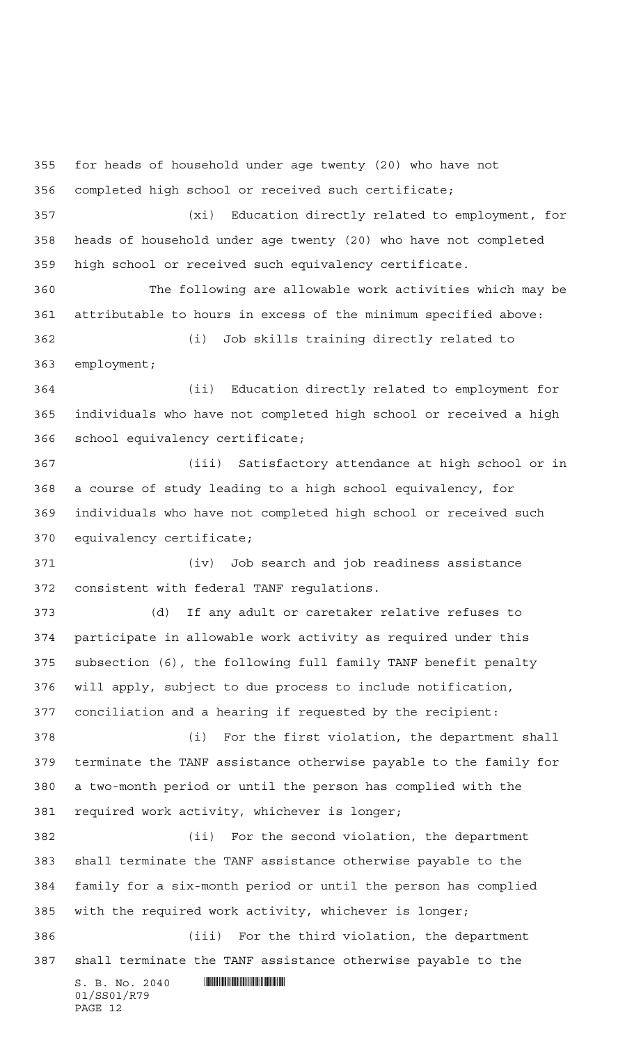$S. B. No. 2040$  .  $\blacksquare$  for heads of household under age twenty (20) who have not completed high school or received such certificate; (xi) Education directly related to employment, for heads of household under age twenty (20) who have not completed high school or received such equivalency certificate. The following are allowable work activities which may be attributable to hours in excess of the minimum specified above: (i) Job skills training directly related to employment; (ii) Education directly related to employment for individuals who have not completed high school or received a high school equivalency certificate; (iii) Satisfactory attendance at high school or in a course of study leading to a high school equivalency, for individuals who have not completed high school or received such equivalency certificate; (iv) Job search and job readiness assistance consistent with federal TANF regulations. (d) If any adult or caretaker relative refuses to participate in allowable work activity as required under this subsection (6), the following full family TANF benefit penalty will apply, subject to due process to include notification, conciliation and a hearing if requested by the recipient: (i) For the first violation, the department shall terminate the TANF assistance otherwise payable to the family for a two-month period or until the person has complied with the required work activity, whichever is longer; (ii) For the second violation, the department shall terminate the TANF assistance otherwise payable to the family for a six-month period or until the person has complied with the required work activity, whichever is longer; (iii) For the third violation, the department shall terminate the TANF assistance otherwise payable to the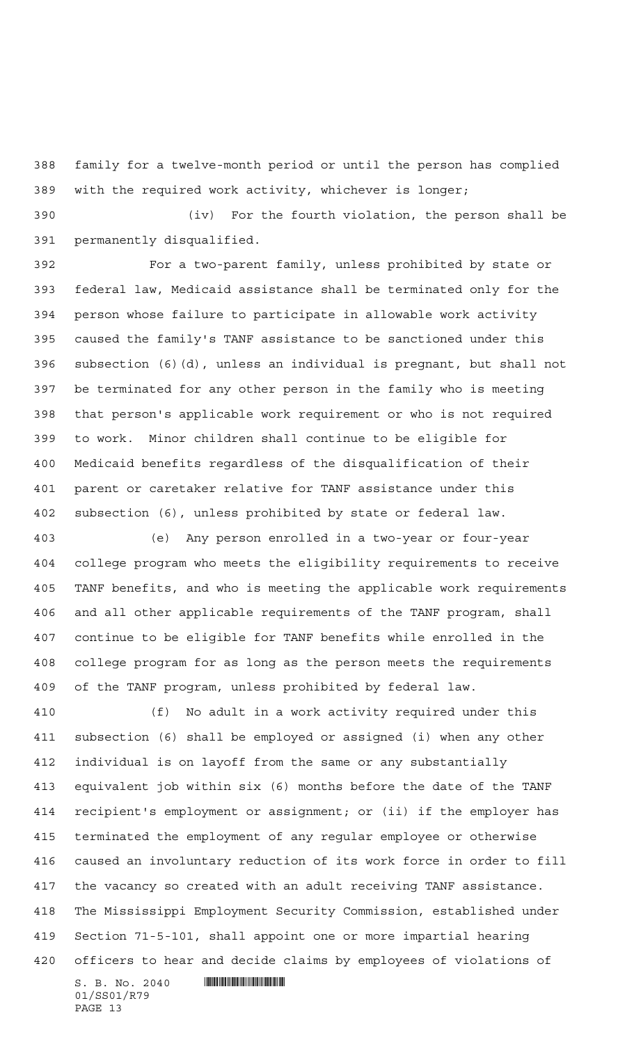family for a twelve-month period or until the person has complied with the required work activity, whichever is longer;

 (iv) For the fourth violation, the person shall be permanently disqualified.

 For a two-parent family, unless prohibited by state or federal law, Medicaid assistance shall be terminated only for the person whose failure to participate in allowable work activity caused the family's TANF assistance to be sanctioned under this subsection (6)(d), unless an individual is pregnant, but shall not be terminated for any other person in the family who is meeting that person's applicable work requirement or who is not required to work. Minor children shall continue to be eligible for Medicaid benefits regardless of the disqualification of their parent or caretaker relative for TANF assistance under this subsection (6), unless prohibited by state or federal law.

 (e) Any person enrolled in a two-year or four-year college program who meets the eligibility requirements to receive TANF benefits, and who is meeting the applicable work requirements and all other applicable requirements of the TANF program, shall continue to be eligible for TANF benefits while enrolled in the college program for as long as the person meets the requirements of the TANF program, unless prohibited by federal law.

 $S. B. No. 2040$  .  $\blacksquare$  (f) No adult in a work activity required under this subsection (6) shall be employed or assigned (i) when any other individual is on layoff from the same or any substantially equivalent job within six (6) months before the date of the TANF recipient's employment or assignment; or (ii) if the employer has terminated the employment of any regular employee or otherwise caused an involuntary reduction of its work force in order to fill the vacancy so created with an adult receiving TANF assistance. The Mississippi Employment Security Commission, established under Section 71-5-101, shall appoint one or more impartial hearing officers to hear and decide claims by employees of violations of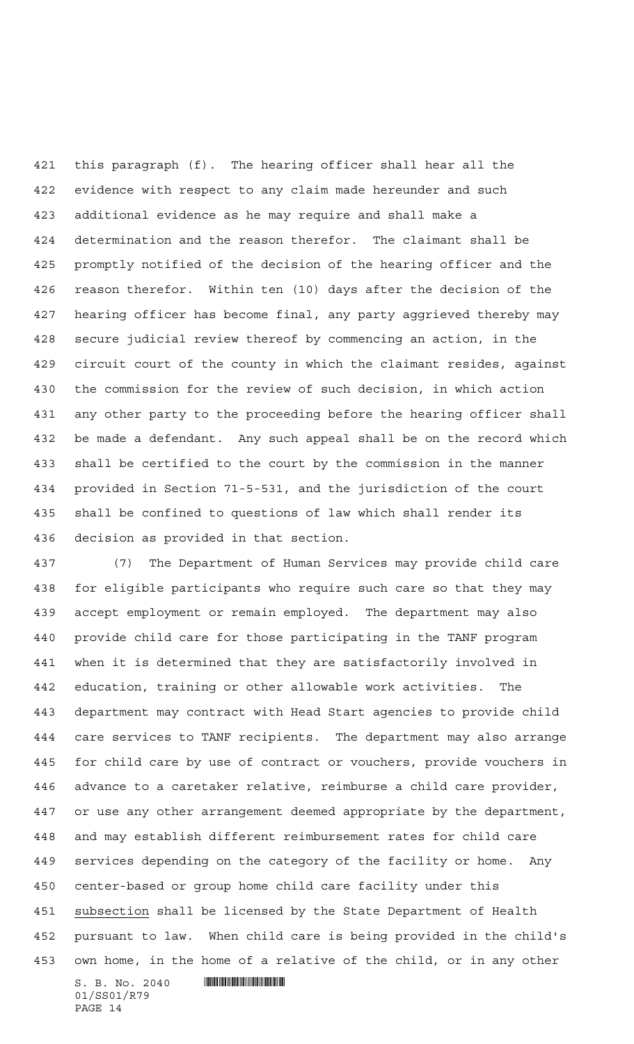this paragraph (f). The hearing officer shall hear all the evidence with respect to any claim made hereunder and such additional evidence as he may require and shall make a determination and the reason therefor. The claimant shall be promptly notified of the decision of the hearing officer and the reason therefor. Within ten (10) days after the decision of the hearing officer has become final, any party aggrieved thereby may secure judicial review thereof by commencing an action, in the circuit court of the county in which the claimant resides, against the commission for the review of such decision, in which action any other party to the proceeding before the hearing officer shall be made a defendant. Any such appeal shall be on the record which shall be certified to the court by the commission in the manner provided in Section 71-5-531, and the jurisdiction of the court shall be confined to questions of law which shall render its decision as provided in that section.

 $S. B. No. 2040$  .  $\blacksquare$  (7) The Department of Human Services may provide child care for eligible participants who require such care so that they may accept employment or remain employed. The department may also provide child care for those participating in the TANF program when it is determined that they are satisfactorily involved in education, training or other allowable work activities. The department may contract with Head Start agencies to provide child care services to TANF recipients. The department may also arrange for child care by use of contract or vouchers, provide vouchers in advance to a caretaker relative, reimburse a child care provider, or use any other arrangement deemed appropriate by the department, and may establish different reimbursement rates for child care services depending on the category of the facility or home. Any center-based or group home child care facility under this subsection shall be licensed by the State Department of Health pursuant to law. When child care is being provided in the child's own home, in the home of a relative of the child, or in any other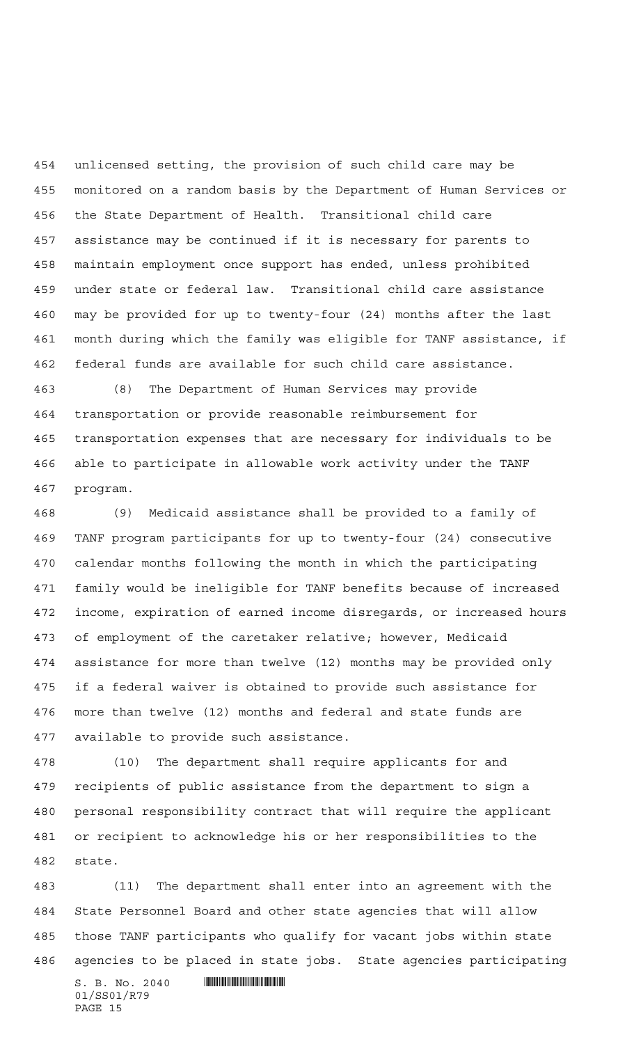unlicensed setting, the provision of such child care may be monitored on a random basis by the Department of Human Services or the State Department of Health. Transitional child care assistance may be continued if it is necessary for parents to maintain employment once support has ended, unless prohibited under state or federal law. Transitional child care assistance may be provided for up to twenty-four (24) months after the last month during which the family was eligible for TANF assistance, if federal funds are available for such child care assistance.

 (8) The Department of Human Services may provide transportation or provide reasonable reimbursement for transportation expenses that are necessary for individuals to be able to participate in allowable work activity under the TANF program.

 (9) Medicaid assistance shall be provided to a family of TANF program participants for up to twenty-four (24) consecutive calendar months following the month in which the participating family would be ineligible for TANF benefits because of increased income, expiration of earned income disregards, or increased hours of employment of the caretaker relative; however, Medicaid assistance for more than twelve (12) months may be provided only if a federal waiver is obtained to provide such assistance for more than twelve (12) months and federal and state funds are available to provide such assistance.

 (10) The department shall require applicants for and recipients of public assistance from the department to sign a personal responsibility contract that will require the applicant or recipient to acknowledge his or her responsibilities to the state.

 $S. B. No. 2040$  .  $\blacksquare$  (11) The department shall enter into an agreement with the State Personnel Board and other state agencies that will allow those TANF participants who qualify for vacant jobs within state agencies to be placed in state jobs. State agencies participating